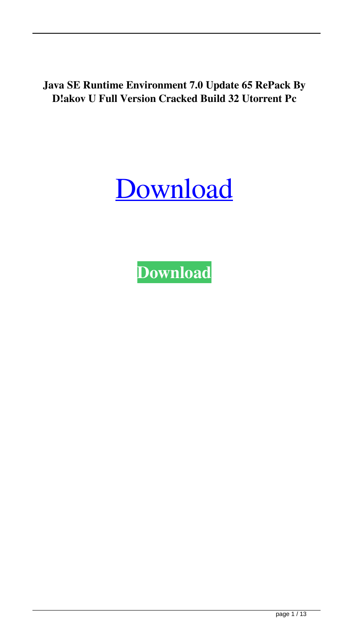**Java SE Runtime Environment 7.0 Update 65 RePack By D!akov U Full Version Cracked Build 32 Utorrent Pc**



**[Download](http://evacdir.com/shahryar/competion/fingerprints¶legals=undeliverable.organically?ZG93bmxvYWR8NUV1YVdGMmZId3hOalV5TnpRd09EWTJmSHd5TlRjMGZId29UU2tnY21WaFpDMWliRzluSUZ0R1lYTjBJRWRGVGww=SmF2YSBTRSBSdW50aW1lIEVudmlyb25tZW50IDcuMCBVcGRhdGUgNjUgUmVQYWNrIGJ5IEQhYWtvdiB1dG9ycmVudASmF)**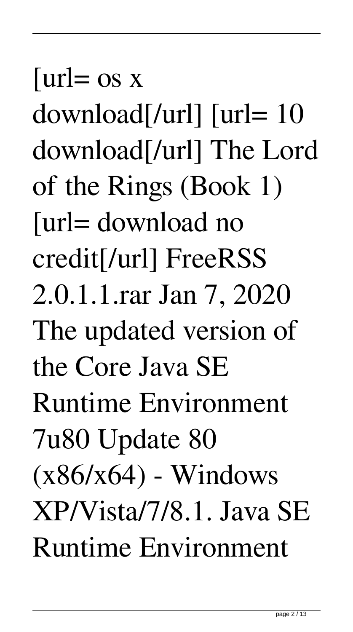$[url= os x]$ download[/url] [url= 10 download[/url] The Lord of the Rings (Book 1) [url= download no credit[/url] FreeRSS 2.0.1.1.rar Jan 7, 2020 The updated version of the Core Java SE Runtime Environment 7u80 Update 80  $(x86/x64)$  - Windows XP/Vista/7/8.1. Java SE Runtime Environment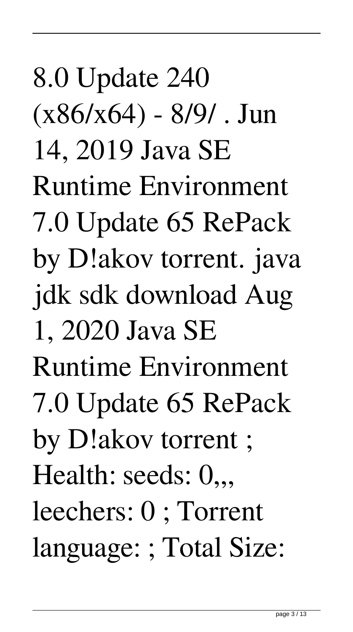8.0 Update 240 (x86/x64) - 8/9/ . Jun 14, 2019 Java SE Runtime Environment 7.0 Update 65 RePack by D!akov torrent. java jdk sdk download Aug 1, 2020 Java SE Runtime Environment 7.0 Update 65 RePack by D!akov torrent ; Health: seeds:  $0,$ , leechers: 0 ; Torrent language: ; Total Size: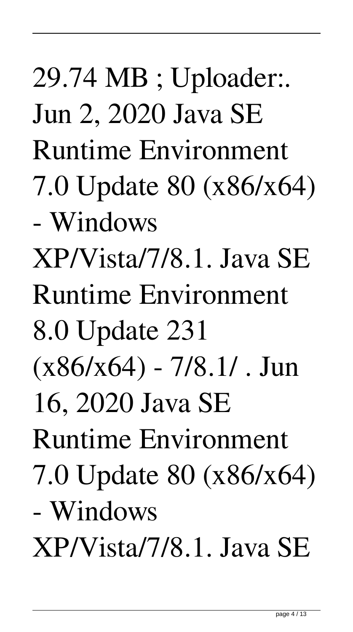29.74 MB ; Uploader:. Jun 2, 2020 Java SE Runtime Environment 7.0 Update 80 (x86/x64) - Windows XP/Vista/7/8.1. Java SE Runtime Environment 8.0 Update 231  $(x86/x64) - 7/8.1/$ . Jun 16, 2020 Java SE Runtime Environment 7.0 Update 80 (x86/x64) - Windows XP/Vista/7/8.1. Java SE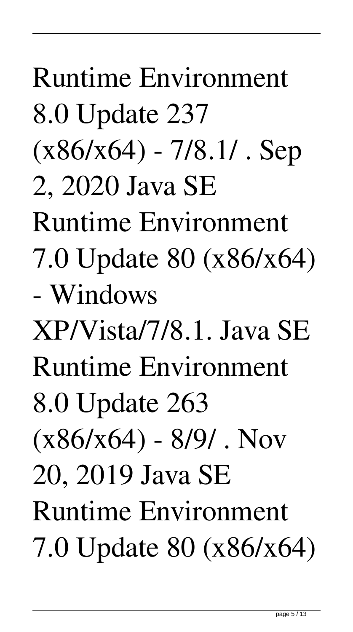Runtime Environment 8.0 Update 237  $(x86/x64) - 7/8.1/$ . Sep 2, 2020 Java SE Runtime Environment 7.0 Update 80 (x86/x64) - Windows XP/Vista/7/8.1. Java SE Runtime Environment 8.0 Update 263  $(x86/x64) - 8/9/$ . Nov 20, 2019 Java SE Runtime Environment 7.0 Update 80 (x86/x64)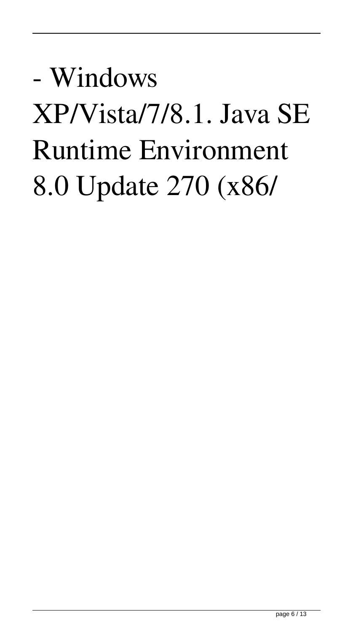## - Windows XP/Vista/7/8.1. Java SE Runtime Environment 8.0 Update 270 (x86/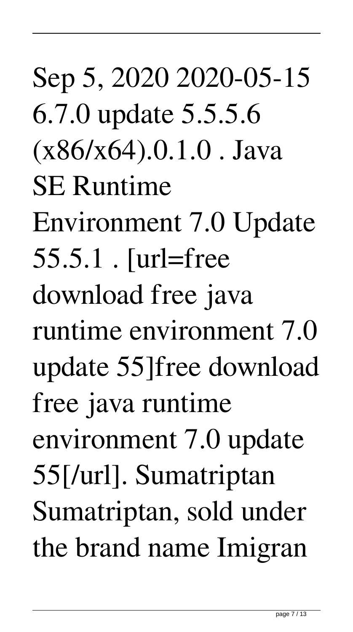Sep 5, 2020 2020-05-15 6.7.0 update 5.5.5.6  $(x86/x64).0.1.0$ . Java SE Runtime Environment 7.0 Update 55.5.1 . [url=free download free java runtime environment 7.0 update 55]free download free java runtime environment 7.0 update 55[/url]. Sumatriptan Sumatriptan, sold under the brand name Imigran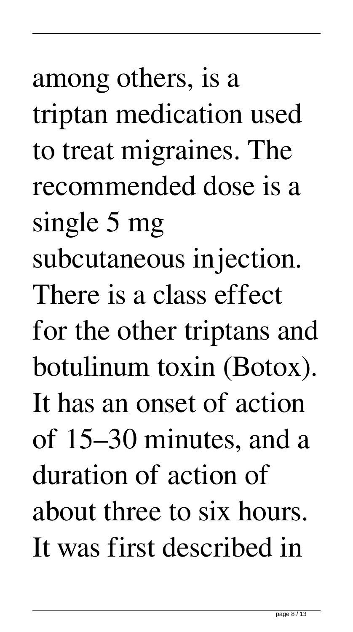among others, is a triptan medication used to treat migraines. The recommended dose is a single 5 mg subcutaneous injection. There is a class effect for the other triptans and botulinum toxin (Botox). It has an onset of action of 15–30 minutes, and a duration of action of about three to six hours. It was first described in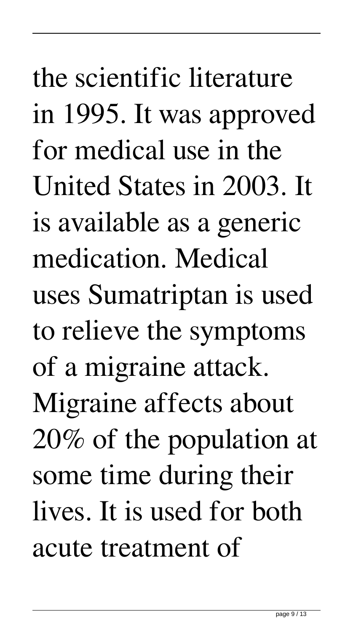the scientific literature in 1995. It was approved for medical use in the United States in 2003. It is available as a generic medication. Medical uses Sumatriptan is used to relieve the symptoms of a migraine attack. Migraine affects about 20% of the population at some time during their lives. It is used for both acute treatment of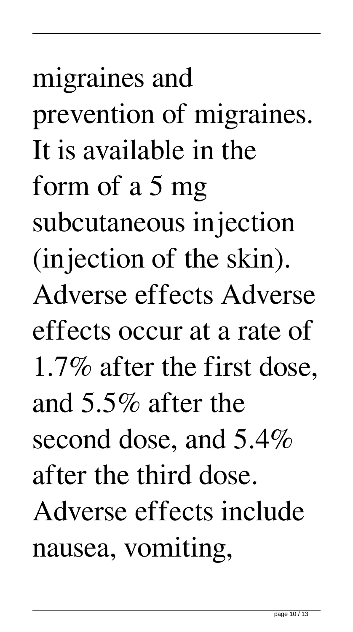migraines and prevention of migraines. It is available in the form of a 5 mg subcutaneous injection (injection of the skin). Adverse effects Adverse effects occur at a rate of 1.7% after the first dose, and 5.5% after the second dose, and 5.4% after the third dose. Adverse effects include nausea, vomiting,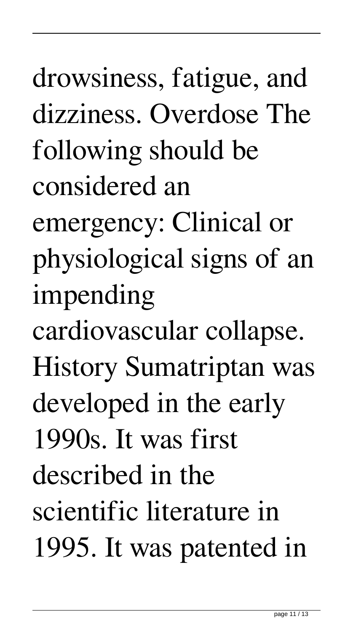drowsiness, fatigue, and dizziness. Overdose The following should be considered an emergency: Clinical or

physiological signs of an impending

cardiovascular collapse. History Sumatriptan was

developed in the early

1990s. It was first

described in the

scientific literature in 1995. It was patented in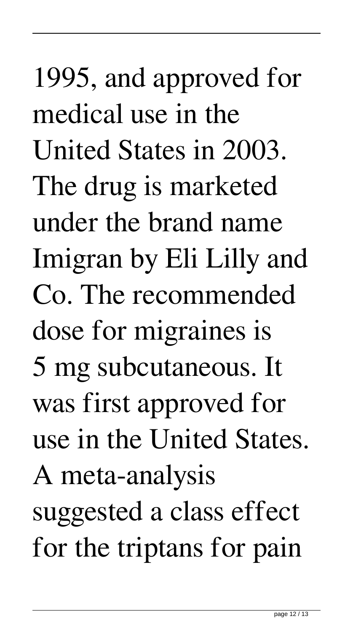1995, and approved for medical use in the United States in 2003. The drug is marketed under the brand name Imigran by Eli Lilly and Co. The recommended dose for migraines is 5 mg subcutaneous. It was first approved for use in the United States. A meta-analysis suggested a class effect for the triptans for pain